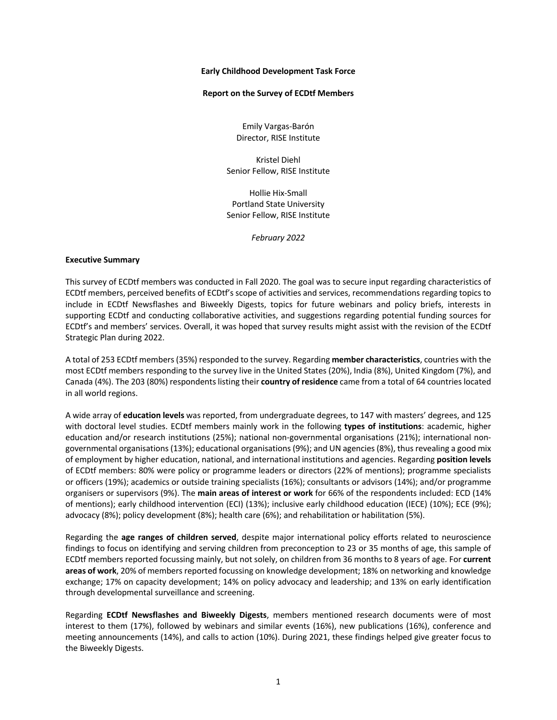#### **Early Childhood Development Task Force**

#### **Report on the Survey of ECDtf Members**

Emily Vargas-Barón Director, RISE Institute

Kristel Diehl Senior Fellow, RISE Institute

Hollie Hix-Small Portland State University Senior Fellow, RISE Institute

*February 2022*

### **Executive Summary**

This survey of ECDtf members was conducted in Fall 2020. The goal was to secure input regarding characteristics of ECDtf members, perceived benefits of ECDtf's scope of activities and services, recommendations regarding topics to include in ECDtf Newsflashes and Biweekly Digests, topics for future webinars and policy briefs, interests in supporting ECDtf and conducting collaborative activities, and suggestions regarding potential funding sources for ECDtf's and members' services. Overall, it was hoped that survey results might assist with the revision of the ECDtf Strategic Plan during 2022.

A total of 253 ECDtf members (35%) responded to the survey. Regarding **member characteristics**, countries with the most ECDtf members responding to the survey live in the United States (20%), India (8%), United Kingdom (7%), and Canada (4%). The 203 (80%) respondents listing their **country of residence** came from a total of 64 countries located in all world regions.

A wide array of **education levels** was reported, from undergraduate degrees, to 147 with masters' degrees, and 125 with doctoral level studies. ECDtf members mainly work in the following **types of institutions**: academic, higher education and/or research institutions (25%); national non-governmental organisations (21%); international nongovernmental organisations (13%); educational organisations (9%); and UN agencies (8%), thus revealing a good mix of employment by higher education, national, and international institutions and agencies. Regarding **position levels** of ECDtf members: 80% were policy or programme leaders or directors (22% of mentions); programme specialists or officers (19%); academics or outside training specialists (16%); consultants or advisors (14%); and/or programme organisers or supervisors (9%). The **main areas of interest or work** for 66% of the respondents included: ECD (14% of mentions); early childhood intervention (ECI) (13%); inclusive early childhood education (IECE) (10%); ECE (9%); advocacy (8%); policy development (8%); health care (6%); and rehabilitation or habilitation (5%).

Regarding the **age ranges of children served**, despite major international policy efforts related to neuroscience findings to focus on identifying and serving children from preconception to 23 or 35 months of age, this sample of ECDtf members reported focussing mainly, but not solely, on children from 36 months to 8 years of age. For **current areas of work**, 20% of members reported focussing on knowledge development; 18% on networking and knowledge exchange; 17% on capacity development; 14% on policy advocacy and leadership; and 13% on early identification through developmental surveillance and screening.

Regarding **ECDtf Newsflashes and Biweekly Digests**, members mentioned research documents were of most interest to them (17%), followed by webinars and similar events (16%), new publications (16%), conference and meeting announcements (14%), and calls to action (10%). During 2021, these findings helped give greater focus to the Biweekly Digests.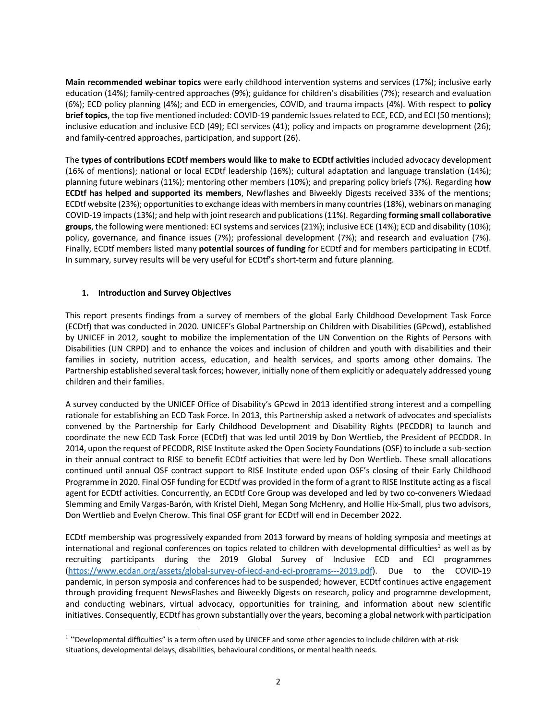**Main recommended webinar topics** were early childhood intervention systems and services (17%); inclusive early education (14%); family-centred approaches (9%); guidance for children's disabilities (7%); research and evaluation (6%); ECD policy planning (4%); and ECD in emergencies, COVID, and trauma impacts (4%). With respect to **policy brief topics**, the top five mentioned included: COVID-19 pandemic Issues related to ECE, ECD, and ECI (50 mentions); inclusive education and inclusive ECD (49); ECI services (41); policy and impacts on programme development (26); and family-centred approaches, participation, and support (26).

The **types of contributions ECDtf members would like to make to ECDtf activities** included advocacy development (16% of mentions); national or local ECDtf leadership (16%); cultural adaptation and language translation (14%); planning future webinars (11%); mentoring other members (10%); and preparing policy briefs (7%). Regarding **how ECDtf has helped and supported its members**, Newflashes and Biweekly Digests received 33% of the mentions; ECDtf website (23%); opportunities to exchange ideas with members in many countries (18%), webinars on managing COVID-19 impacts (13%); and help with joint research and publications (11%). Regarding **forming small collaborative groups**, the following were mentioned: ECIsystems and services(21%); inclusive ECE (14%); ECD and disability (10%); policy, governance, and finance issues (7%); professional development (7%); and research and evaluation (7%). Finally, ECDtf members listed many **potential sources of funding** for ECDtf and for members participating in ECDtf. In summary, survey results will be very useful for ECDtf's short-term and future planning.

# **1. Introduction and Survey Objectives**

This report presents findings from a survey of members of the global Early Childhood Development Task Force (ECDtf) that was conducted in 2020. UNICEF's Global Partnership on Children with Disabilities (GPcwd), established by UNICEF in 2012, sought to mobilize the implementation of the UN Convention on the Rights of Persons with Disabilities (UN CRPD) and to enhance the voices and inclusion of children and youth with disabilities and their families in society, nutrition access, education, and health services, and sports among other domains. The Partnership established several task forces; however, initially none of them explicitly or adequately addressed young children and their families.

A survey conducted by the UNICEF Office of Disability's GPcwd in 2013 identified strong interest and a compelling rationale for establishing an ECD Task Force. In 2013, this Partnership asked a network of advocates and specialists convened by the Partnership for Early Childhood Development and Disability Rights (PECDDR) to launch and coordinate the new ECD Task Force (ECDtf) that was led until 2019 by Don Wertlieb, the President of PECDDR. In 2014, upon the request of PECDDR, RISE Institute asked the Open Society Foundations(OSF) to include a sub-section in their annual contract to RISE to benefit ECDtf activities that were led by Don Wertlieb. These small allocations continued until annual OSF contract support to RISE Institute ended upon OSF's closing of their Early Childhood Programme in 2020. Final OSF funding for ECDtf was provided in the form of a grant to RISE Institute acting as a fiscal agent for ECDtf activities. Concurrently, an ECDtf Core Group was developed and led by two co-conveners Wiedaad Slemming and Emily Vargas-Barón, with Kristel Diehl, Megan Song McHenry, and Hollie Hix-Small, plus two advisors, Don Wertlieb and Evelyn Cherow. This final OSF grant for ECDtf will end in December 2022.

ECDtf membership was progressively expanded from 2013 forward by means of holding symposia and meetings at international and regional conferences on topics related to children with developmental difficulties<sup>1</sup> as well as by recruiting participants during the 2019 Global Survey of Inclusive ECD and ECI programmes (https://www.ecdan.org/assets/global-survey-of-iecd-and-eci-programs---2019.pdf). Due to the COVID-19 pandemic, in person symposia and conferences had to be suspended; however, ECDtf continues active engagement through providing frequent NewsFlashes and Biweekly Digests on research, policy and programme development, and conducting webinars, virtual advocacy, opportunities for training, and information about new scientific initiatives. Consequently, ECDtf has grown substantially over the years, becoming a global network with participation

<sup>&</sup>lt;sup>1</sup> "Developmental difficulties" is a term often used by UNICEF and some other agencies to include children with at-risk situations, developmental delays, disabilities, behavioural conditions, or mental health needs.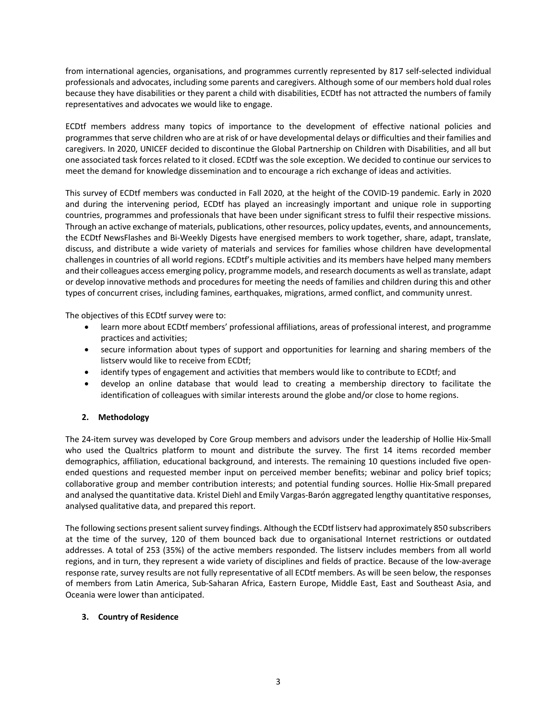from international agencies, organisations, and programmes currently represented by 817 self-selected individual professionals and advocates, including some parents and caregivers. Although some of our members hold dual roles because they have disabilities or they parent a child with disabilities, ECDtf has not attracted the numbers of family representatives and advocates we would like to engage.

ECDtf members address many topics of importance to the development of effective national policies and programmes that serve children who are at risk of or have developmental delays or difficulties and their families and caregivers. In 2020, UNICEF decided to discontinue the Global Partnership on Children with Disabilities, and all but one associated task forces related to it closed. ECDtf was the sole exception. We decided to continue our services to meet the demand for knowledge dissemination and to encourage a rich exchange of ideas and activities.

This survey of ECDtf members was conducted in Fall 2020, at the height of the COVID-19 pandemic. Early in 2020 and during the intervening period, ECDtf has played an increasingly important and unique role in supporting countries, programmes and professionals that have been under significant stress to fulfil their respective missions. Through an active exchange of materials, publications, other resources, policy updates, events, and announcements, the ECDtf NewsFlashes and Bi-Weekly Digests have energised members to work together, share, adapt, translate, discuss, and distribute a wide variety of materials and services for families whose children have developmental challenges in countries of all world regions. ECDtf's multiple activities and its members have helped many members and their colleagues access emerging policy, programme models, and research documents as well as translate, adapt or develop innovative methods and procedures for meeting the needs of families and children during this and other types of concurrent crises, including famines, earthquakes, migrations, armed conflict, and community unrest.

The objectives of this ECDtf survey were to:

- learn more about ECDtf members' professional affiliations, areas of professional interest, and programme practices and activities;
- secure information about types of support and opportunities for learning and sharing members of the listserv would like to receive from ECDtf;
- identify types of engagement and activities that members would like to contribute to ECDtf; and
- develop an online database that would lead to creating a membership directory to facilitate the identification of colleagues with similar interests around the globe and/or close to home regions.

# **2. Methodology**

The 24-item survey was developed by Core Group members and advisors under the leadership of Hollie Hix-Small who used the Qualtrics platform to mount and distribute the survey. The first 14 items recorded member demographics, affiliation, educational background, and interests. The remaining 10 questions included five openended questions and requested member input on perceived member benefits; webinar and policy brief topics; collaborative group and member contribution interests; and potential funding sources. Hollie Hix-Small prepared and analysed the quantitative data. Kristel Diehl and Emily Vargas-Barón aggregated lengthy quantitative responses, analysed qualitative data, and prepared this report.

The following sections present salient survey findings. Although the ECDtf listserv had approximately 850 subscribers at the time of the survey, 120 of them bounced back due to organisational Internet restrictions or outdated addresses. A total of 253 (35%) of the active members responded. The listserv includes members from all world regions, and in turn, they represent a wide variety of disciplines and fields of practice. Because of the low-average response rate, survey results are not fully representative of all ECDtf members. As will be seen below, the responses of members from Latin America, Sub-Saharan Africa, Eastern Europe, Middle East, East and Southeast Asia, and Oceania were lower than anticipated.

## **3. Country of Residence**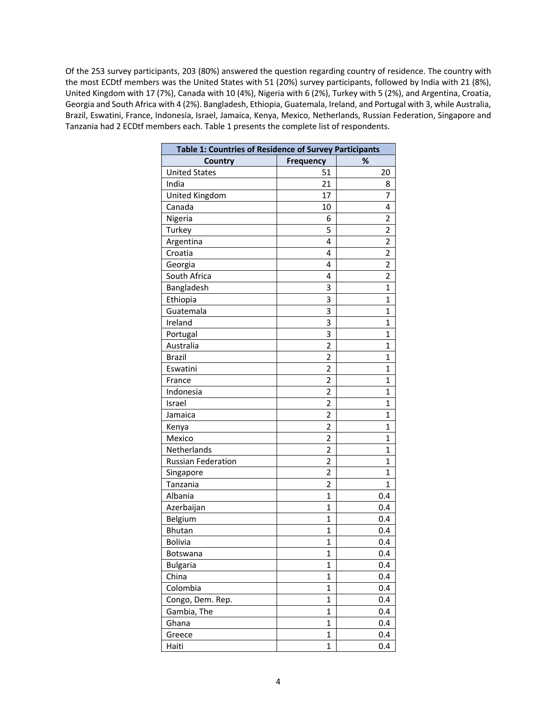Of the 253 survey participants, 203 (80%) answered the question regarding country of residence. The country with the most ECDtf members was the United States with 51 (20%) survey participants, followed by India with 21 (8%), United Kingdom with 17 (7%), Canada with 10 (4%), Nigeria with 6 (2%), Turkey with 5 (2%), and Argentina, Croatia, Georgia and South Africa with 4 (2%). Bangladesh, Ethiopia, Guatemala, Ireland, and Portugal with 3, while Australia, Brazil, Eswatini, France, Indonesia, Israel, Jamaica, Kenya, Mexico, Netherlands, Russian Federation, Singapore and Tanzania had 2 ECDtf members each. Table 1 presents the complete list of respondents.

| Table 1: Countries of Residence of Survey Participants |                  |                |
|--------------------------------------------------------|------------------|----------------|
| Country                                                | <b>Frequency</b> | %              |
| <b>United States</b>                                   | 51               | 20             |
| India                                                  | 21               | 8              |
| United Kingdom                                         | 17               | 7              |
| Canada                                                 | 10               | 4              |
| Nigeria                                                | 6                | $\overline{2}$ |
| Turkey                                                 | 5                | $\overline{2}$ |
| Argentina                                              | 4                | 2              |
| Croatia                                                | 4                | 2              |
| Georgia                                                | 4                | 2              |
| South Africa                                           | 4                | 2              |
| Bangladesh                                             | 3                | 1              |
| Ethiopia                                               | 3                | 1              |
| Guatemala                                              | 3                | 1              |
| Ireland                                                | 3                | 1              |
| Portugal                                               | 3                | 1              |
| Australia                                              | 2                | 1              |
| <b>Brazil</b>                                          | 2                | 1              |
| Eswatini                                               | 2                | 1              |
| France                                                 | $\overline{2}$   | 1              |
| Indonesia                                              | $\overline{2}$   | 1              |
| Israel                                                 | 2                | 1              |
| Jamaica                                                | $\overline{2}$   | 1              |
| Kenya                                                  | $\overline{2}$   | 1              |
| Mexico                                                 | $\overline{2}$   | 1              |
| Netherlands                                            | $\overline{2}$   | 1              |
| <b>Russian Federation</b>                              | $\overline{2}$   | 1              |
| Singapore                                              | $\overline{2}$   | 1              |
| Tanzania                                               | 2                | 1              |
| Albania                                                | $\mathbf{1}$     | 0.4            |
| Azerbaijan                                             | $\mathbf{1}$     | 0.4            |
| Belgium                                                | $\mathbf{1}$     | 0.4            |
| <b>Bhutan</b>                                          | $\mathbf{1}$     | 0.4            |
| <b>Bolivia</b>                                         | 1                | 0.4            |
| Botswana                                               | 1                | 0.4            |
| <b>Bulgaria</b>                                        | $\mathbf 1$      | 0.4            |
| China                                                  | $\mathbf{1}$     | 0.4            |
| Colombia                                               | $\mathbf{1}$     | 0.4            |
| Congo, Dem. Rep.                                       | $\mathbf{1}$     | 0.4            |
| Gambia, The                                            | $\mathbf{1}$     | 0.4            |
| Ghana                                                  | $\mathbf{1}$     | 0.4            |
| Greece                                                 | $\mathbf{1}$     | 0.4            |
| Haiti                                                  | $\mathbf 1$      | 0.4            |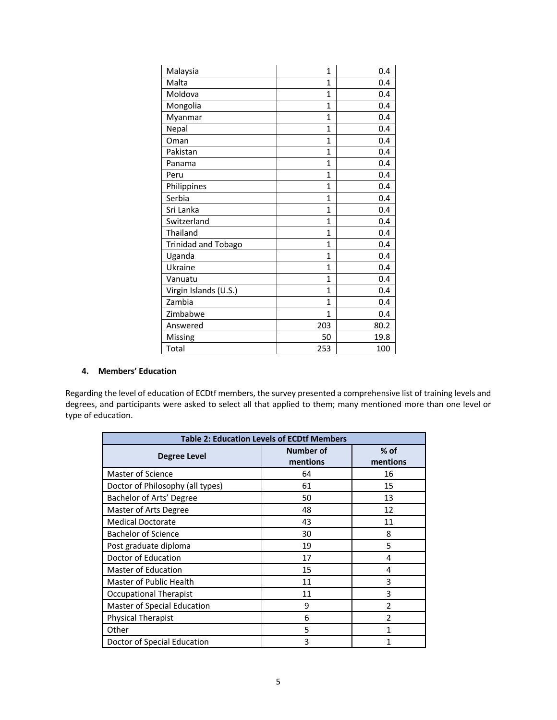| Malaysia              | $\mathbf{1}$ | 0.4  |
|-----------------------|--------------|------|
| Malta                 | 1            | 0.4  |
| Moldova               | 1            | 0.4  |
| Mongolia              | 1            | 0.4  |
| Myanmar               | $\mathbf{1}$ | 0.4  |
| Nepal                 | 1            | 0.4  |
| Oman                  | $\mathbf{1}$ | 0.4  |
| Pakistan              | 1            | 0.4  |
| Panama                | $\mathbf{1}$ | 0.4  |
| Peru                  | 1            | 0.4  |
| Philippines           | 1            | 0.4  |
| Serbia                | 1            | 0.4  |
| Sri Lanka             | 1            | 0.4  |
| Switzerland           | 1            | 0.4  |
| Thailand              | 1            | 0.4  |
| Trinidad and Tobago   | 1            | 0.4  |
| Uganda                | 1            | 0.4  |
| Ukraine               | $\mathbf{1}$ | 0.4  |
| Vanuatu               | 1            | 0.4  |
| Virgin Islands (U.S.) | 1            | 0.4  |
| Zambia                | 1            | 0.4  |
| Zimbabwe              | 1            | 0.4  |
| Answered              | 203          | 80.2 |
| Missing               | 50           | 19.8 |
| Total                 | 253          | 100  |

# **4. Members' Education**

Regarding the level of education of ECDtf members, the survey presented a comprehensive list of training levels and degrees, and participants were asked to select all that applied to them; many mentioned more than one level or type of education.

| <b>Table 2: Education Levels of ECDtf Members</b> |                              |                    |
|---------------------------------------------------|------------------------------|--------------------|
| Degree Level                                      | <b>Number of</b><br>mentions | $%$ of<br>mentions |
| Master of Science                                 | 64                           | 16                 |
| Doctor of Philosophy (all types)                  | 61                           | 15                 |
| Bachelor of Arts' Degree                          | 50                           | 13                 |
| Master of Arts Degree                             | 48                           | 12                 |
| <b>Medical Doctorate</b>                          | 43                           | 11                 |
| <b>Bachelor of Science</b>                        | 30                           | 8                  |
| Post graduate diploma                             | 19                           | 5                  |
| Doctor of Education                               | 17                           | 4                  |
| <b>Master of Education</b>                        | 15                           | 4                  |
| Master of Public Health                           | 11                           | 3                  |
| Occupational Therapist                            | 11                           | 3                  |
| Master of Special Education                       | 9                            | 2                  |
| <b>Physical Therapist</b>                         | 6                            | $\mathfrak{p}$     |
| Other                                             | 5                            | 1                  |
| Doctor of Special Education                       | 3                            |                    |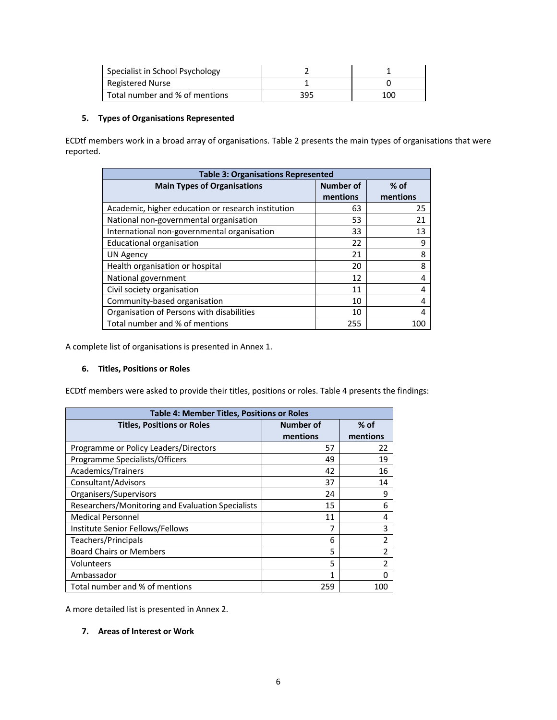| Specialist in School Psychology |     |     |
|---------------------------------|-----|-----|
| Registered Nurse                |     |     |
| Total number and % of mentions  | 395 | 100 |

# **5. Types of Organisations Represented**

ECDtf members work in a broad array of organisations. Table 2 presents the main types of organisations that were reported.

| <b>Table 3: Organisations Represented</b>          |                  |          |  |
|----------------------------------------------------|------------------|----------|--|
| <b>Main Types of Organisations</b>                 | <b>Number of</b> | $%$ of   |  |
|                                                    | mentions         | mentions |  |
| Academic, higher education or research institution | 63               | 25       |  |
| National non-governmental organisation             | 53               | 21       |  |
| International non-governmental organisation        | 33               | 13       |  |
| <b>Educational organisation</b>                    | 22               | 9        |  |
| <b>UN Agency</b>                                   | 21               | 8        |  |
| Health organisation or hospital                    | 20               | 8        |  |
| National government                                | 12               |          |  |
| Civil society organisation                         | 11               |          |  |
| Community-based organisation                       | 10               | 4        |  |
| Organisation of Persons with disabilities          | 10               |          |  |
| Total number and % of mentions                     | 255              | 100      |  |

A complete list of organisations is presented in Annex 1.

## **6. Titles, Positions or Roles**

ECDtf members were asked to provide their titles, positions or roles. Table 4 presents the findings:

| <b>Table 4: Member Titles, Positions or Roles</b> |          |                |  |
|---------------------------------------------------|----------|----------------|--|
| Number of<br><b>Titles, Positions or Roles</b>    |          | $%$ of         |  |
|                                                   | mentions | mentions       |  |
| Programme or Policy Leaders/Directors             | 57       | 22             |  |
| Programme Specialists/Officers                    | 49       | 19             |  |
| Academics/Trainers                                | 42       | 16             |  |
| Consultant/Advisors                               | 37       | 14             |  |
| Organisers/Supervisors                            | 24       | 9              |  |
| Researchers/Monitoring and Evaluation Specialists | 15       | 6              |  |
| <b>Medical Personnel</b>                          | 11       | 4              |  |
| Institute Senior Fellows/Fellows                  |          | 3              |  |
| Teachers/Principals                               | 6        | 2              |  |
| <b>Board Chairs or Members</b>                    | 5        | 2              |  |
| Volunteers                                        | 5        | $\overline{2}$ |  |
| Ambassador                                        | 1        | ŋ              |  |
| Total number and % of mentions                    | 259      | 100            |  |

A more detailed list is presented in Annex 2.

# **7. Areas of Interest or Work**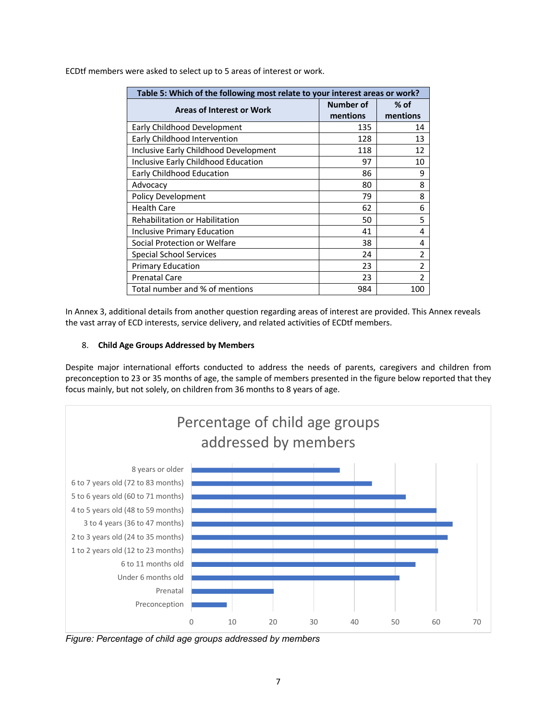| Table 5: Which of the following most relate to your interest areas or work? |           |                |  |
|-----------------------------------------------------------------------------|-----------|----------------|--|
| <b>Areas of Interest or Work</b>                                            | Number of | $%$ of         |  |
|                                                                             | mentions  | mentions       |  |
| Early Childhood Development                                                 | 135       | 14             |  |
| Early Childhood Intervention                                                | 128       | 13             |  |
| Inclusive Early Childhood Development                                       | 118       | 12             |  |
| Inclusive Early Childhood Education                                         | 97        | 10             |  |
| Early Childhood Education                                                   | 86        | 9              |  |
| Advocacy                                                                    | 80        | 8              |  |
| <b>Policy Development</b>                                                   | 79        | 8              |  |
| <b>Health Care</b>                                                          | 62        | 6              |  |
| Rehabilitation or Habilitation                                              | 50        | 5              |  |
| Inclusive Primary Education                                                 | 41        | 4              |  |
| Social Protection or Welfare                                                | 38        | 4              |  |
| Special School Services                                                     | 24        | $\overline{2}$ |  |
| <b>Primary Education</b>                                                    | 23        | $\overline{2}$ |  |
| <b>Prenatal Care</b>                                                        | 23        | $\mathfrak z$  |  |
| Total number and % of mentions                                              | 984       | 100            |  |

ECDtf members were asked to select up to 5 areas of interest or work.

In Annex 3, additional details from another question regarding areas of interest are provided. This Annex reveals the vast array of ECD interests, service delivery, and related activities of ECDtf members.

# 8. **Child Age Groups Addressed by Members**

Despite major international efforts conducted to address the needs of parents, caregivers and children from preconception to 23 or 35 months of age, the sample of members presented in the figure below reported that they focus mainly, but not solely, on children from 36 months to 8 years of age.



*Figure: Percentage of child age groups addressed by members*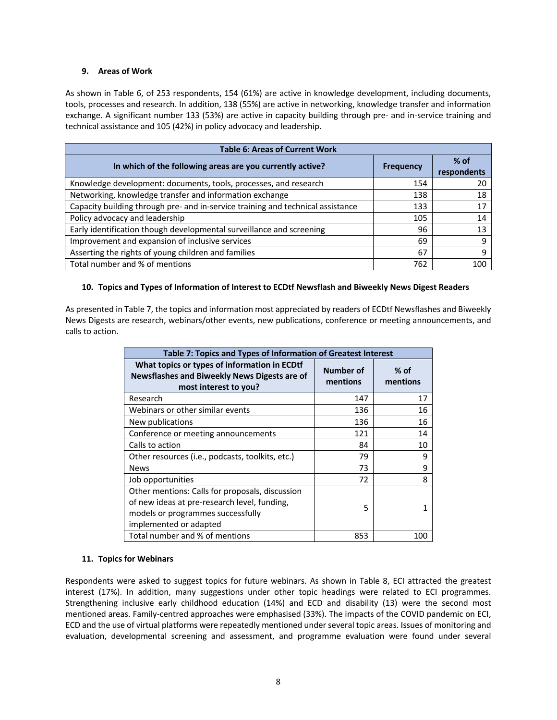### **9. Areas of Work**

As shown in Table 6, of 253 respondents, 154 (61%) are active in knowledge development, including documents, tools, processes and research. In addition, 138 (55%) are active in networking, knowledge transfer and information exchange. A significant number 133 (53%) are active in capacity building through pre- and in-service training and technical assistance and 105 (42%) in policy advocacy and leadership.

| <b>Table 6: Areas of Current Work</b>                                           |                  |                       |  |
|---------------------------------------------------------------------------------|------------------|-----------------------|--|
| In which of the following areas are you currently active?                       | <b>Frequency</b> | $%$ of<br>respondents |  |
| Knowledge development: documents, tools, processes, and research                | 154              | 20                    |  |
| Networking, knowledge transfer and information exchange                         | 138              | 18                    |  |
| Capacity building through pre- and in-service training and technical assistance | 133              | 17                    |  |
| Policy advocacy and leadership                                                  | 105              | 14                    |  |
| Early identification though developmental surveillance and screening            | 96               | 13                    |  |
| Improvement and expansion of inclusive services                                 | 69               | 9                     |  |
| Asserting the rights of young children and families                             | 67               | 9                     |  |
| Total number and % of mentions                                                  | 762              | 100                   |  |

## **10. Topics and Types of Information of Interest to ECDtf Newsflash and Biweekly News Digest Readers**

As presented in Table 7, the topics and information most appreciated by readers of ECDtf Newsflashes and Biweekly News Digests are research, webinars/other events, new publications, conference or meeting announcements, and calls to action.

| Table 7: Topics and Types of Information of Greatest Interest                                                                                                  |                       |                    |  |
|----------------------------------------------------------------------------------------------------------------------------------------------------------------|-----------------------|--------------------|--|
| What topics or types of information in ECDtf<br>Newsflashes and Biweekly News Digests are of<br>most interest to you?                                          | Number of<br>mentions | $%$ of<br>mentions |  |
| Research                                                                                                                                                       | 147                   | 17                 |  |
| Webinars or other similar events                                                                                                                               | 136                   | 16                 |  |
| New publications                                                                                                                                               | 136                   | 16                 |  |
| Conference or meeting announcements                                                                                                                            | 121                   | 14                 |  |
| Calls to action                                                                                                                                                | 84                    | 10                 |  |
| Other resources (i.e., podcasts, toolkits, etc.)                                                                                                               | 79                    | 9                  |  |
| <b>News</b>                                                                                                                                                    | 73                    | 9                  |  |
| Job opportunities                                                                                                                                              | 72                    | 8                  |  |
| Other mentions: Calls for proposals, discussion<br>of new ideas at pre-research level, funding,<br>models or programmes successfully<br>implemented or adapted | 5                     |                    |  |
| Total number and % of mentions                                                                                                                                 | 853                   | 100                |  |

## **11. Topics for Webinars**

Respondents were asked to suggest topics for future webinars. As shown in Table 8, ECI attracted the greatest interest (17%). In addition, many suggestions under other topic headings were related to ECI programmes. Strengthening inclusive early childhood education (14%) and ECD and disability (13) were the second most mentioned areas. Family-centred approaches were emphasised (33%). The impacts of the COVID pandemic on ECI, ECD and the use of virtual platforms were repeatedly mentioned under several topic areas. Issues of monitoring and evaluation, developmental screening and assessment, and programme evaluation were found under several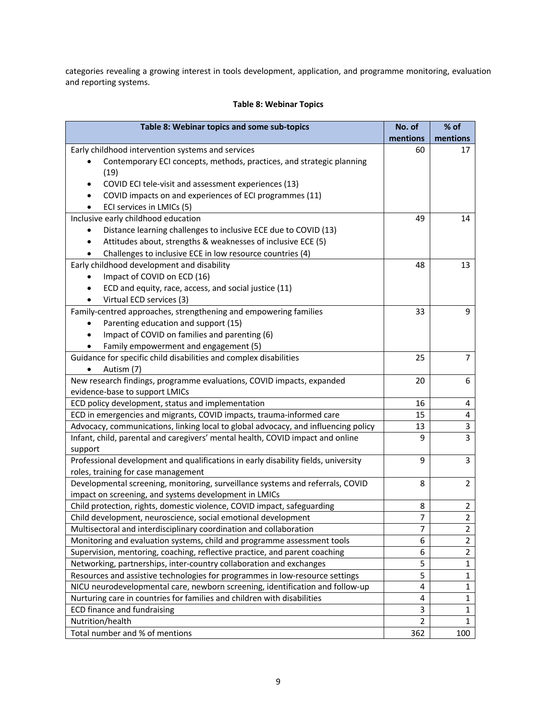categories revealing a growing interest in tools development, application, and programme monitoring, evaluation and reporting systems.

# **Table 8: Webinar Topics**

| Table 8: Webinar topics and some sub-topics                                                                                         | No. of<br>mentions | % of<br>mentions                 |
|-------------------------------------------------------------------------------------------------------------------------------------|--------------------|----------------------------------|
| Early childhood intervention systems and services                                                                                   | 60                 | 17                               |
| Contemporary ECI concepts, methods, practices, and strategic planning                                                               |                    |                                  |
| (19)                                                                                                                                |                    |                                  |
| COVID ECI tele-visit and assessment experiences (13)<br>٠                                                                           |                    |                                  |
| COVID impacts on and experiences of ECI programmes (11)<br>$\bullet$                                                                |                    |                                  |
| ECI services in LMICs (5)                                                                                                           |                    |                                  |
| Inclusive early childhood education                                                                                                 | 49                 | 14                               |
| Distance learning challenges to inclusive ECE due to COVID (13)<br>٠                                                                |                    |                                  |
| Attitudes about, strengths & weaknesses of inclusive ECE (5)                                                                        |                    |                                  |
| Challenges to inclusive ECE in low resource countries (4)<br>$\bullet$                                                              |                    |                                  |
| Early childhood development and disability                                                                                          | 48                 | 13                               |
| Impact of COVID on ECD (16)                                                                                                         |                    |                                  |
| ECD and equity, race, access, and social justice (11)                                                                               |                    |                                  |
| Virtual ECD services (3)                                                                                                            |                    |                                  |
| Family-centred approaches, strengthening and empowering families                                                                    | 33                 | 9                                |
| Parenting education and support (15)<br>$\bullet$                                                                                   |                    |                                  |
| Impact of COVID on families and parenting (6)                                                                                       |                    |                                  |
| Family empowerment and engagement (5)                                                                                               |                    |                                  |
| Guidance for specific child disabilities and complex disabilities                                                                   | 25                 | $\overline{7}$                   |
| Autism (7)<br>$\bullet$                                                                                                             |                    |                                  |
| New research findings, programme evaluations, COVID impacts, expanded                                                               | 20                 | 6                                |
| evidence-base to support LMICs                                                                                                      |                    |                                  |
| ECD policy development, status and implementation                                                                                   | 16                 | 4                                |
| ECD in emergencies and migrants, COVID impacts, trauma-informed care                                                                | 15                 | 4                                |
| Advocacy, communications, linking local to global advocacy, and influencing policy                                                  | 13                 | 3                                |
| Infant, child, parental and caregivers' mental health, COVID impact and online                                                      | 9                  | $\overline{3}$                   |
| support                                                                                                                             |                    |                                  |
| Professional development and qualifications in early disability fields, university                                                  | 9                  | 3                                |
| roles, training for case management                                                                                                 |                    |                                  |
| Developmental screening, monitoring, surveillance systems and referrals, COVID                                                      | 8                  | $\overline{2}$                   |
| impact on screening, and systems development in LMICs                                                                               | 8                  |                                  |
| Child protection, rights, domestic violence, COVID impact, safeguarding                                                             | $\overline{7}$     | $\overline{2}$<br>$\overline{2}$ |
| Child development, neuroscience, social emotional development<br>Multisectoral and interdisciplinary coordination and collaboration |                    |                                  |
| Monitoring and evaluation systems, child and programme assessment tools                                                             | 7<br>6             | 2<br>$\overline{2}$              |
| Supervision, mentoring, coaching, reflective practice, and parent coaching                                                          | 6                  | $\mathbf{2}$                     |
| Networking, partnerships, inter-country collaboration and exchanges                                                                 | 5                  | $\mathbf{1}$                     |
| Resources and assistive technologies for programmes in low-resource settings                                                        | 5                  | $\mathbf 1$                      |
| NICU neurodevelopmental care, newborn screening, identification and follow-up                                                       | 4                  | $\mathbf{1}$                     |
| Nurturing care in countries for families and children with disabilities                                                             | 4                  | $\mathbf{1}$                     |
| <b>ECD finance and fundraising</b>                                                                                                  | 3                  | 1                                |
| Nutrition/health                                                                                                                    | $\overline{2}$     | $\mathbf{1}$                     |
| Total number and % of mentions                                                                                                      | 362                | 100                              |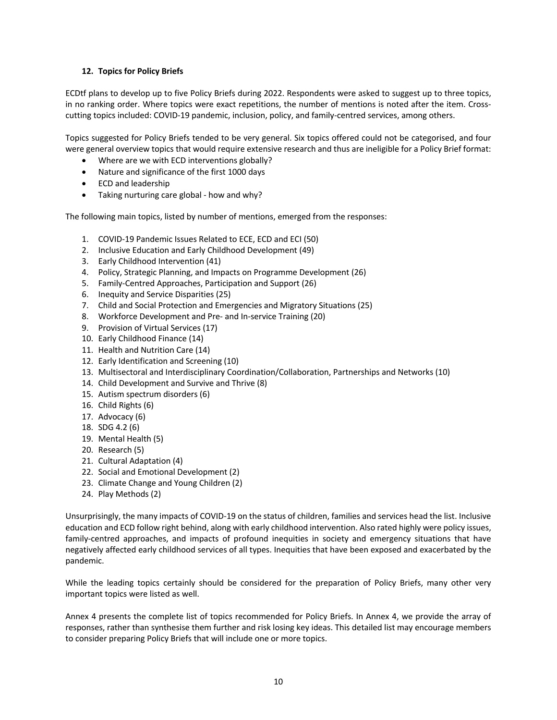# **12. Topics for Policy Briefs**

ECDtf plans to develop up to five Policy Briefs during 2022. Respondents were asked to suggest up to three topics, in no ranking order. Where topics were exact repetitions, the number of mentions is noted after the item. Crosscutting topics included: COVID-19 pandemic, inclusion, policy, and family-centred services, among others.

Topics suggested for Policy Briefs tended to be very general. Six topics offered could not be categorised, and four were general overview topics that would require extensive research and thus are ineligible for a Policy Brief format:

- Where are we with ECD interventions globally?
- Nature and significance of the first 1000 days
- ECD and leadership
- Taking nurturing care global how and why?

The following main topics, listed by number of mentions, emerged from the responses:

- 1. COVID-19 Pandemic Issues Related to ECE, ECD and ECI (50)
- 2. Inclusive Education and Early Childhood Development (49)
- 3. Early Childhood Intervention (41)
- 4. Policy, Strategic Planning, and Impacts on Programme Development (26)
- 5. Family-Centred Approaches, Participation and Support (26)
- 6. Inequity and Service Disparities (25)
- 7. Child and Social Protection and Emergencies and Migratory Situations (25)
- 8. Workforce Development and Pre- and In-service Training (20)
- 9. Provision of Virtual Services (17)
- 10. Early Childhood Finance (14)
- 11. Health and Nutrition Care (14)
- 12. Early Identification and Screening (10)
- 13. Multisectoral and Interdisciplinary Coordination/Collaboration, Partnerships and Networks (10)
- 14. Child Development and Survive and Thrive (8)
- 15. Autism spectrum disorders (6)
- 16. Child Rights (6)
- 17. Advocacy (6)
- 18. SDG 4.2 (6)
- 19. Mental Health (5)
- 20. Research (5)
- 21. Cultural Adaptation (4)
- 22. Social and Emotional Development (2)
- 23. Climate Change and Young Children (2)
- 24. Play Methods (2)

Unsurprisingly, the many impacts of COVID-19 on the status of children, families and services head the list. Inclusive education and ECD follow right behind, along with early childhood intervention. Also rated highly were policy issues, family-centred approaches, and impacts of profound inequities in society and emergency situations that have negatively affected early childhood services of all types. Inequities that have been exposed and exacerbated by the pandemic.

While the leading topics certainly should be considered for the preparation of Policy Briefs, many other very important topics were listed as well.

Annex 4 presents the complete list of topics recommended for Policy Briefs. In Annex 4, we provide the array of responses, rather than synthesise them further and risk losing key ideas. This detailed list may encourage members to consider preparing Policy Briefs that will include one or more topics.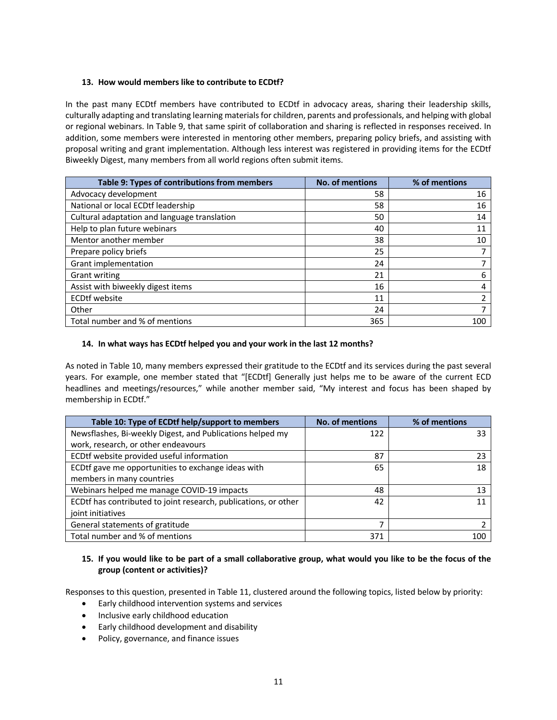## **13. How would members like to contribute to ECDtf?**

In the past many ECDtf members have contributed to ECDtf in advocacy areas, sharing their leadership skills, culturally adapting and translating learning materials for children, parents and professionals, and helping with global or regional webinars. In Table 9, that same spirit of collaboration and sharing is reflected in responses received. In addition, some members were interested in mentoring other members, preparing policy briefs, and assisting with proposal writing and grant implementation. Although less interest was registered in providing items for the ECDtf Biweekly Digest, many members from all world regions often submit items.

| Table 9: Types of contributions from members | <b>No. of mentions</b> | % of mentions |
|----------------------------------------------|------------------------|---------------|
| Advocacy development                         | 58                     | 16            |
| National or local ECDtf leadership           | 58                     | 16            |
| Cultural adaptation and language translation | 50                     | 14            |
| Help to plan future webinars                 | 40                     | 11            |
| Mentor another member                        | 38                     | 10            |
| Prepare policy briefs                        | 25                     |               |
| Grant implementation                         | 24                     |               |
| <b>Grant writing</b>                         | 21                     | 6             |
| Assist with biweekly digest items            | 16                     |               |
| <b>ECDtf</b> website                         | 11                     |               |
| Other                                        | 24                     |               |
| Total number and % of mentions               | 365                    | 100           |

# **14. In what ways has ECDtf helped you and your work in the last 12 months?**

As noted in Table 10, many members expressed their gratitude to the ECDtf and its services during the past several years. For example, one member stated that "[ECDtf] Generally just helps me to be aware of the current ECD headlines and meetings/resources," while another member said, "My interest and focus has been shaped by membership in ECDtf."

| Table 10: Type of ECDtf help/support to members                 | <b>No. of mentions</b> | % of mentions |
|-----------------------------------------------------------------|------------------------|---------------|
| Newsflashes, Bi-weekly Digest, and Publications helped my       | 122                    | 33            |
| work, research, or other endeavours                             |                        |               |
| ECDtf website provided useful information                       | 87                     | 23            |
| ECDtf gave me opportunities to exchange ideas with              | 65                     | 18            |
| members in many countries                                       |                        |               |
| Webinars helped me manage COVID-19 impacts                      | 48                     | 13            |
| ECDtf has contributed to joint research, publications, or other | 42                     |               |
| joint initiatives                                               |                        |               |
| General statements of gratitude                                 |                        |               |
| Total number and % of mentions                                  | 371                    | 100           |

# **15. If you would like to be part of a small collaborative group, what would you like to be the focus of the group (content or activities)?**

Responses to this question, presented in Table 11, clustered around the following topics, listed below by priority:

- Early childhood intervention systems and services
- Inclusive early childhood education
- Early childhood development and disability
- Policy, governance, and finance issues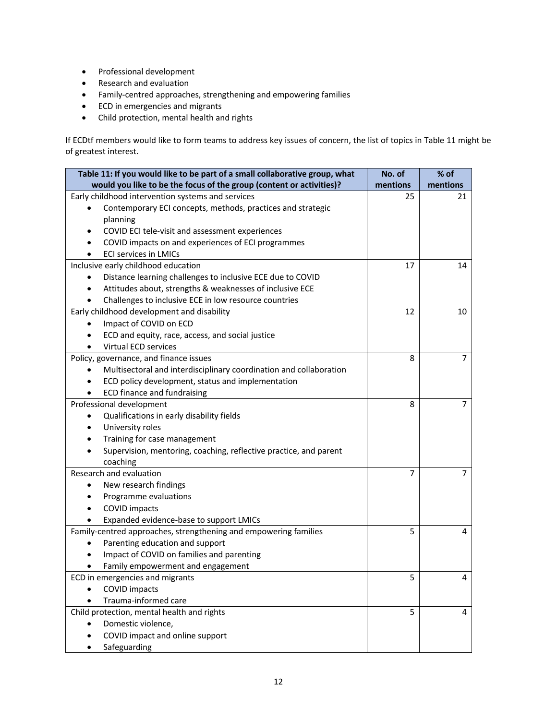- Professional development
- Research and evaluation
- Family-centred approaches, strengthening and empowering families
- ECD in emergencies and migrants
- Child protection, mental health and rights

If ECDtf members would like to form teams to address key issues of concern, the list of topics in Table 11 might be of greatest interest.

| Table 11: If you would like to be part of a small collaborative group, what | No. of   | % of           |
|-----------------------------------------------------------------------------|----------|----------------|
| would you like to be the focus of the group (content or activities)?        | mentions | mentions       |
| Early childhood intervention systems and services                           | 25       | 21             |
| Contemporary ECI concepts, methods, practices and strategic                 |          |                |
| planning                                                                    |          |                |
| COVID ECI tele-visit and assessment experiences                             |          |                |
| COVID impacts on and experiences of ECI programmes                          |          |                |
| <b>ECI services in LMICs</b>                                                |          |                |
| Inclusive early childhood education                                         | 17       | 14             |
| Distance learning challenges to inclusive ECE due to COVID<br>٠             |          |                |
| Attitudes about, strengths & weaknesses of inclusive ECE                    |          |                |
| Challenges to inclusive ECE in low resource countries                       |          |                |
| Early childhood development and disability                                  | 12       | 10             |
| Impact of COVID on ECD                                                      |          |                |
| ECD and equity, race, access, and social justice                            |          |                |
| <b>Virtual ECD services</b>                                                 |          |                |
| Policy, governance, and finance issues                                      | 8        | 7              |
| Multisectoral and interdisciplinary coordination and collaboration          |          |                |
| ECD policy development, status and implementation                           |          |                |
| ECD finance and fundraising                                                 |          |                |
| Professional development                                                    | 8        | $\overline{7}$ |
| Qualifications in early disability fields<br>٠                              |          |                |
| University roles                                                            |          |                |
| Training for case management                                                |          |                |
| Supervision, mentoring, coaching, reflective practice, and parent           |          |                |
| coaching                                                                    |          |                |
| Research and evaluation                                                     | 7        | 7              |
| New research findings<br>$\bullet$                                          |          |                |
| Programme evaluations                                                       |          |                |
| <b>COVID impacts</b>                                                        |          |                |
| Expanded evidence-base to support LMICs                                     |          |                |
| Family-centred approaches, strengthening and empowering families            | 5        | 4              |
| Parenting education and support                                             |          |                |
| Impact of COVID on families and parenting                                   |          |                |
| Family empowerment and engagement                                           |          |                |
| ECD in emergencies and migrants                                             | 5        | 4              |
| <b>COVID impacts</b>                                                        |          |                |
| Trauma-informed care                                                        |          |                |
| Child protection, mental health and rights                                  | 5        | 4              |
| Domestic violence,                                                          |          |                |
| COVID impact and online support                                             |          |                |
| Safeguarding                                                                |          |                |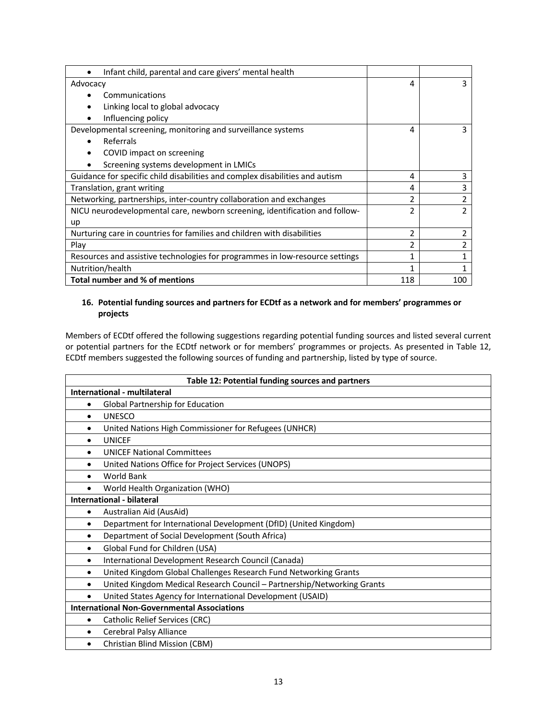| Infant child, parental and care givers' mental health                        |                |                |
|------------------------------------------------------------------------------|----------------|----------------|
| Advocacy                                                                     | 4              | 3              |
| Communications                                                               |                |                |
| Linking local to global advocacy                                             |                |                |
| Influencing policy                                                           |                |                |
| Developmental screening, monitoring and surveillance systems                 | 4              | 3              |
| Referrals                                                                    |                |                |
| COVID impact on screening                                                    |                |                |
| Screening systems development in LMICs                                       |                |                |
| Guidance for specific child disabilities and complex disabilities and autism | 4              | 3              |
| Translation, grant writing                                                   | 4              | 3              |
| Networking, partnerships, inter-country collaboration and exchanges          | 2              | $\overline{2}$ |
| NICU neurodevelopmental care, newborn screening, identification and follow-  | $\mathfrak z$  | $\mathcal{P}$  |
| up                                                                           |                |                |
| Nurturing care in countries for families and children with disabilities      | $\mathfrak{p}$ | $\overline{2}$ |
| Play                                                                         | $\mathfrak z$  | 2              |
| Resources and assistive technologies for programmes in low-resource settings | 1              |                |
| Nutrition/health                                                             | 1              |                |
| Total number and % of mentions                                               | 118            | 100            |

# **16. Potential funding sources and partners for ECDtf as a network and for members' programmes or projects**

Members of ECDtf offered the following suggestions regarding potential funding sources and listed several current or potential partners for the ECDtf network or for members' programmes or projects. As presented in Table 12, ECDtf members suggested the following sources of funding and partnership, listed by type of source.

| Table 12: Potential funding sources and partners |                                                                         |  |  |
|--------------------------------------------------|-------------------------------------------------------------------------|--|--|
|                                                  | International - multilateral                                            |  |  |
| $\bullet$                                        | Global Partnership for Education                                        |  |  |
| $\bullet$                                        | <b>UNESCO</b>                                                           |  |  |
| $\bullet$                                        | United Nations High Commissioner for Refugees (UNHCR)                   |  |  |
| ٠                                                | <b>UNICEF</b>                                                           |  |  |
| $\bullet$                                        | <b>UNICEF National Committees</b>                                       |  |  |
| $\bullet$                                        | United Nations Office for Project Services (UNOPS)                      |  |  |
| $\bullet$                                        | <b>World Bank</b>                                                       |  |  |
|                                                  | World Health Organization (WHO)                                         |  |  |
|                                                  | International - bilateral                                               |  |  |
| ٠                                                | Australian Aid (AusAid)                                                 |  |  |
| $\bullet$                                        | Department for International Development (DfID) (United Kingdom)        |  |  |
| $\bullet$                                        | Department of Social Development (South Africa)                         |  |  |
| $\bullet$                                        | Global Fund for Children (USA)                                          |  |  |
| $\bullet$                                        | International Development Research Council (Canada)                     |  |  |
| $\bullet$                                        | United Kingdom Global Challenges Research Fund Networking Grants        |  |  |
| $\bullet$                                        | United Kingdom Medical Research Council - Partnership/Networking Grants |  |  |
| $\bullet$                                        | United States Agency for International Development (USAID)              |  |  |
|                                                  | <b>International Non-Governmental Associations</b>                      |  |  |
| $\bullet$                                        | Catholic Relief Services (CRC)                                          |  |  |
| $\bullet$                                        | Cerebral Palsy Alliance                                                 |  |  |
| $\bullet$                                        | Christian Blind Mission (CBM)                                           |  |  |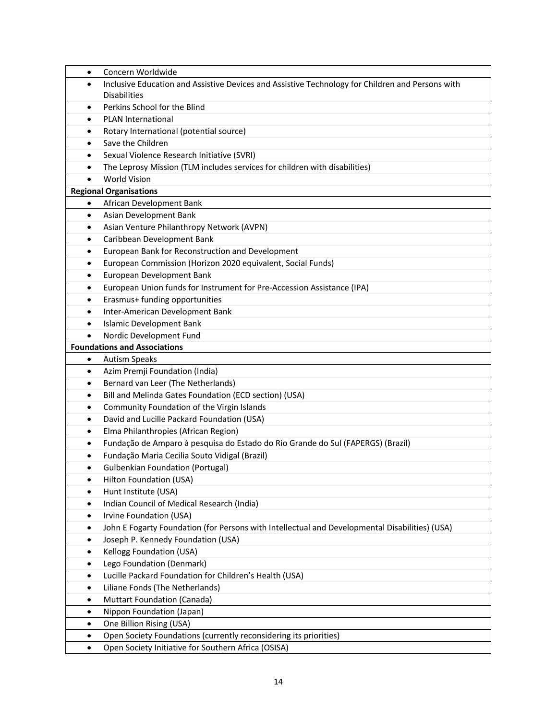| $\bullet$      | Concern Worldwide                                                                                |
|----------------|--------------------------------------------------------------------------------------------------|
| $\bullet$      | Inclusive Education and Assistive Devices and Assistive Technology for Children and Persons with |
|                | <b>Disabilities</b>                                                                              |
| $\bullet$      | Perkins School for the Blind                                                                     |
| $\bullet$      | PLAN International                                                                               |
| $\bullet$      | Rotary International (potential source)                                                          |
| $\bullet$      | Save the Children                                                                                |
| $\bullet$      | Sexual Violence Research Initiative (SVRI)                                                       |
| $\bullet$      | The Leprosy Mission (TLM includes services for children with disabilities)                       |
| $\bullet$      | <b>World Vision</b>                                                                              |
|                | <b>Regional Organisations</b>                                                                    |
| $\bullet$      | African Development Bank                                                                         |
| $\bullet$      | Asian Development Bank                                                                           |
| $\bullet$      | Asian Venture Philanthropy Network (AVPN)                                                        |
| $\bullet$      | Caribbean Development Bank                                                                       |
| $\bullet$      | European Bank for Reconstruction and Development                                                 |
| ٠              | European Commission (Horizon 2020 equivalent, Social Funds)                                      |
| ٠              | European Development Bank                                                                        |
| $\bullet$      | European Union funds for Instrument for Pre-Accession Assistance (IPA)                           |
| $\bullet$      | Erasmus+ funding opportunities                                                                   |
| $\bullet$      | Inter-American Development Bank                                                                  |
| $\bullet$      | <b>Islamic Development Bank</b>                                                                  |
| $\bullet$      | Nordic Development Fund                                                                          |
|                | <b>Foundations and Associations</b>                                                              |
| $\bullet$      | <b>Autism Speaks</b>                                                                             |
| $\bullet$      | Azim Premji Foundation (India)                                                                   |
| $\bullet$      | Bernard van Leer (The Netherlands)                                                               |
| $\bullet$      | Bill and Melinda Gates Foundation (ECD section) (USA)                                            |
| $\bullet$      | Community Foundation of the Virgin Islands                                                       |
| $\bullet$      | David and Lucille Packard Foundation (USA)                                                       |
| $\bullet$      | Elma Philanthropies (African Region)                                                             |
| $\bullet$      | Fundação de Amparo à pesquisa do Estado do Rio Grande do Sul (FAPERGS) (Brazil)                  |
| $\bullet$      | Fundação Maria Cecilia Souto Vidigal (Brazil)                                                    |
| $\bullet$      | <b>Gulbenkian Foundation (Portugal)</b>                                                          |
| $\bullet$      | Hilton Foundation (USA)                                                                          |
| $\bullet$      | Hunt Institute (USA)                                                                             |
| $\bullet$      | Indian Council of Medical Research (India)                                                       |
| ٠              | Irvine Foundation (USA)                                                                          |
| ٠              | John E Fogarty Foundation (for Persons with Intellectual and Developmental Disabilities) (USA)   |
| $\bullet$      | Joseph P. Kennedy Foundation (USA)<br>Kellogg Foundation (USA)                                   |
| ٠<br>$\bullet$ | Lego Foundation (Denmark)                                                                        |
| ٠              | Lucille Packard Foundation for Children's Health (USA)                                           |
| ٠              | Liliane Fonds (The Netherlands)                                                                  |
| $\bullet$      | Muttart Foundation (Canada)                                                                      |
| $\bullet$      | Nippon Foundation (Japan)                                                                        |
| ٠              | One Billion Rising (USA)                                                                         |
| ٠              | Open Society Foundations (currently reconsidering its priorities)                                |
| $\bullet$      | Open Society Initiative for Southern Africa (OSISA)                                              |
|                |                                                                                                  |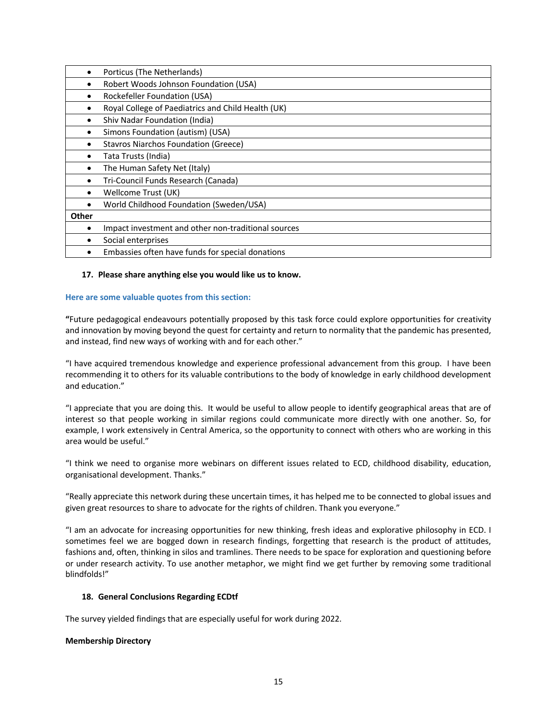|       | Porticus (The Netherlands)                          |
|-------|-----------------------------------------------------|
|       | Robert Woods Johnson Foundation (USA)               |
|       | Rockefeller Foundation (USA)                        |
|       | Royal College of Paediatrics and Child Health (UK)  |
| ٠     | Shiv Nadar Foundation (India)                       |
|       | Simons Foundation (autism) (USA)                    |
|       | <b>Stavros Niarchos Foundation (Greece)</b>         |
|       | Tata Trusts (India)                                 |
| ٠     | The Human Safety Net (Italy)                        |
|       | Tri-Council Funds Research (Canada)                 |
| ٠     | Wellcome Trust (UK)                                 |
| ٠     | World Childhood Foundation (Sweden/USA)             |
| Other |                                                     |
| ٠     | Impact investment and other non-traditional sources |
|       | Social enterprises                                  |
|       | Embassies often have funds for special donations    |

### **17. Please share anything else you would like us to know.**

### **Here are some valuable quotes from this section:**

**"**Future pedagogical endeavours potentially proposed by this task force could explore opportunities for creativity and innovation by moving beyond the quest for certainty and return to normality that the pandemic has presented, and instead, find new ways of working with and for each other."

"I have acquired tremendous knowledge and experience professional advancement from this group. I have been recommending it to others for its valuable contributions to the body of knowledge in early childhood development and education."

"I appreciate that you are doing this. It would be useful to allow people to identify geographical areas that are of interest so that people working in similar regions could communicate more directly with one another. So, for example, I work extensively in Central America, so the opportunity to connect with others who are working in this area would be useful."

"I think we need to organise more webinars on different issues related to ECD, childhood disability, education, organisational development. Thanks."

"Really appreciate this network during these uncertain times, it has helped me to be connected to global issues and given great resources to share to advocate for the rights of children. Thank you everyone."

"I am an advocate for increasing opportunities for new thinking, fresh ideas and explorative philosophy in ECD. I sometimes feel we are bogged down in research findings, forgetting that research is the product of attitudes, fashions and, often, thinking in silos and tramlines. There needs to be space for exploration and questioning before or under research activity. To use another metaphor, we might find we get further by removing some traditional blindfolds!"

## **18. General Conclusions Regarding ECDtf**

The survey yielded findings that are especially useful for work during 2022.

### **Membership Directory**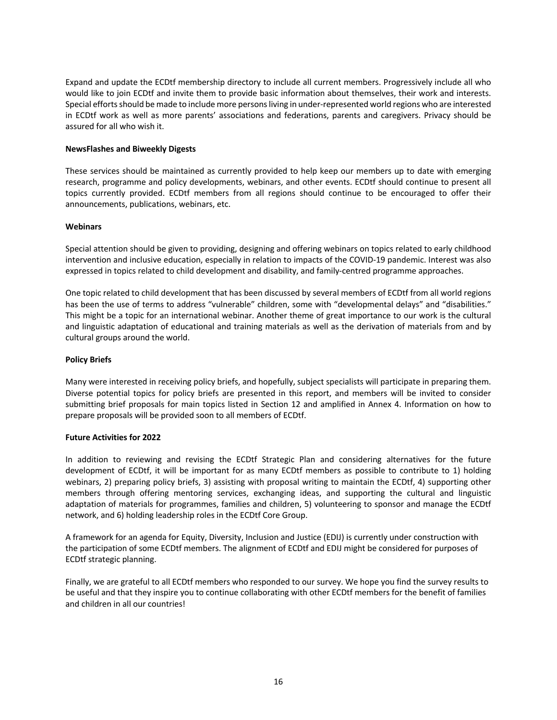Expand and update the ECDtf membership directory to include all current members. Progressively include all who would like to join ECDtf and invite them to provide basic information about themselves, their work and interests. Special efforts should be made to include more persons living in under-represented world regions who are interested in ECDtf work as well as more parents' associations and federations, parents and caregivers. Privacy should be assured for all who wish it.

### **NewsFlashes and Biweekly Digests**

These services should be maintained as currently provided to help keep our members up to date with emerging research, programme and policy developments, webinars, and other events. ECDtf should continue to present all topics currently provided. ECDtf members from all regions should continue to be encouraged to offer their announcements, publications, webinars, etc.

### **Webinars**

Special attention should be given to providing, designing and offering webinars on topics related to early childhood intervention and inclusive education, especially in relation to impacts of the COVID-19 pandemic. Interest was also expressed in topics related to child development and disability, and family-centred programme approaches.

One topic related to child development that has been discussed by several members of ECDtf from all world regions has been the use of terms to address "vulnerable" children, some with "developmental delays" and "disabilities." This might be a topic for an international webinar. Another theme of great importance to our work is the cultural and linguistic adaptation of educational and training materials as well as the derivation of materials from and by cultural groups around the world.

### **Policy Briefs**

Many were interested in receiving policy briefs, and hopefully, subject specialists will participate in preparing them. Diverse potential topics for policy briefs are presented in this report, and members will be invited to consider submitting brief proposals for main topics listed in Section 12 and amplified in Annex 4. Information on how to prepare proposals will be provided soon to all members of ECDtf.

### **Future Activities for 2022**

In addition to reviewing and revising the ECDtf Strategic Plan and considering alternatives for the future development of ECDtf, it will be important for as many ECDtf members as possible to contribute to 1) holding webinars, 2) preparing policy briefs, 3) assisting with proposal writing to maintain the ECDtf, 4) supporting other members through offering mentoring services, exchanging ideas, and supporting the cultural and linguistic adaptation of materials for programmes, families and children, 5) volunteering to sponsor and manage the ECDtf network, and 6) holding leadership roles in the ECDtf Core Group.

A framework for an agenda for Equity, Diversity, Inclusion and Justice (EDIJ) is currently under construction with the participation of some ECDtf members. The alignment of ECDtf and EDIJ might be considered for purposes of ECDtf strategic planning.

Finally, we are grateful to all ECDtf members who responded to our survey. We hope you find the survey results to be useful and that they inspire you to continue collaborating with other ECDtf members for the benefit of families and children in all our countries!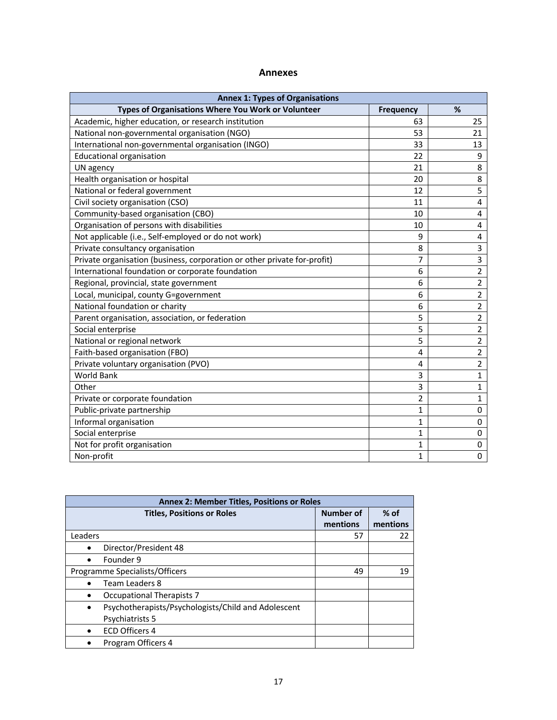# **Annexes**

| <b>Annex 1: Types of Organisations</b>                                      |              |                |  |  |  |
|-----------------------------------------------------------------------------|--------------|----------------|--|--|--|
| Types of Organisations Where You Work or Volunteer<br>%<br><b>Frequency</b> |              |                |  |  |  |
| Academic, higher education, or research institution                         | 63           | 25             |  |  |  |
| National non-governmental organisation (NGO)                                | 53           | 21             |  |  |  |
| International non-governmental organisation (INGO)                          | 33           | 13             |  |  |  |
| <b>Educational organisation</b>                                             | 22           | 9              |  |  |  |
| UN agency                                                                   | 21           | 8              |  |  |  |
| Health organisation or hospital                                             | 20           | 8              |  |  |  |
| National or federal government                                              | 12           | 5              |  |  |  |
| Civil society organisation (CSO)                                            | 11           | 4              |  |  |  |
| Community-based organisation (CBO)                                          | 10           | 4              |  |  |  |
| Organisation of persons with disabilities                                   | 10           | 4              |  |  |  |
| Not applicable (i.e., Self-employed or do not work)                         | 9            | 4              |  |  |  |
| Private consultancy organisation                                            | 8            | 3              |  |  |  |
| Private organisation (business, corporation or other private for-profit)    | 7            | 3              |  |  |  |
| International foundation or corporate foundation                            | 6            | $\overline{2}$ |  |  |  |
| Regional, provincial, state government                                      | 6            | $\overline{2}$ |  |  |  |
| Local, municipal, county G=government                                       | 6            | $\overline{2}$ |  |  |  |
| National foundation or charity                                              | 6            | $\overline{2}$ |  |  |  |
| Parent organisation, association, or federation                             | 5            | $\overline{2}$ |  |  |  |
| Social enterprise                                                           | 5            | $\overline{2}$ |  |  |  |
| National or regional network                                                | 5            | $\overline{2}$ |  |  |  |
| Faith-based organisation (FBO)                                              | 4            | $\overline{2}$ |  |  |  |
| Private voluntary organisation (PVO)                                        | 4            | $\overline{2}$ |  |  |  |
| <b>World Bank</b>                                                           | 3            | $\mathbf{1}$   |  |  |  |
| Other                                                                       | 3            | $\mathbf{1}$   |  |  |  |
| Private or corporate foundation                                             | 2            | $\mathbf{1}$   |  |  |  |
| Public-private partnership                                                  | 1            | 0              |  |  |  |
| Informal organisation                                                       | $\mathbf{1}$ | 0              |  |  |  |
| Social enterprise                                                           | 1            | 0              |  |  |  |
| Not for profit organisation                                                 | 1            | 0              |  |  |  |
| Non-profit                                                                  | $\mathbf{1}$ | 0              |  |  |  |

| <b>Annex 2: Member Titles, Positions or Roles</b>                |                  |          |  |
|------------------------------------------------------------------|------------------|----------|--|
| <b>Titles, Positions or Roles</b>                                | <b>Number of</b> | $%$ of   |  |
|                                                                  | mentions         | mentions |  |
| Leaders                                                          | 57               | 22       |  |
| Director/President 48<br>$\bullet$                               |                  |          |  |
| Founder 9                                                        |                  |          |  |
| Programme Specialists/Officers                                   | 49               | 19       |  |
| <b>Team Leaders 8</b>                                            |                  |          |  |
| Occupational Therapists 7                                        |                  |          |  |
| Psychotherapists/Psychologists/Child and Adolescent<br>$\bullet$ |                  |          |  |
| Psychiatrists 5                                                  |                  |          |  |
| <b>ECD Officers 4</b>                                            |                  |          |  |
| Program Officers 4                                               |                  |          |  |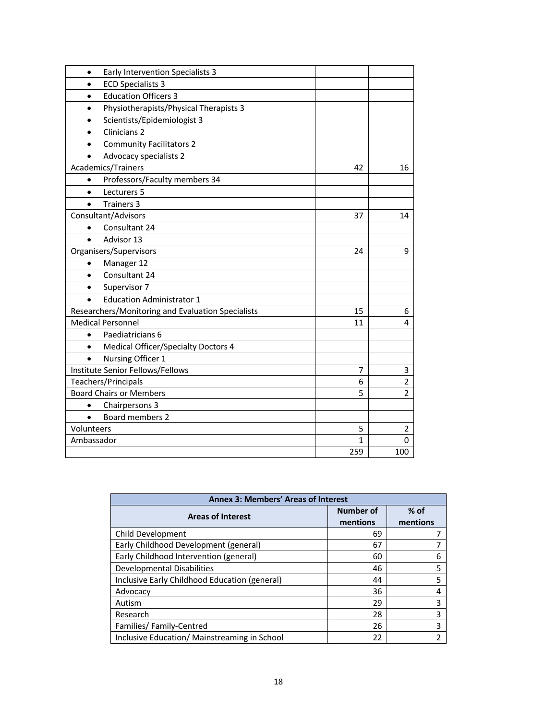| Early Intervention Specialists 3<br>$\bullet$           |     |                |
|---------------------------------------------------------|-----|----------------|
| <b>ECD Specialists 3</b><br>$\bullet$                   |     |                |
| <b>Education Officers 3</b><br>$\bullet$                |     |                |
| Physiotherapists/Physical Therapists 3<br>$\bullet$     |     |                |
| Scientists/Epidemiologist 3<br>$\bullet$                |     |                |
| Clinicians <sub>2</sub><br>$\bullet$                    |     |                |
| <b>Community Facilitators 2</b>                         |     |                |
| <b>Advocacy specialists 2</b><br>$\bullet$              |     |                |
| Academics/Trainers                                      | 42  | 16             |
| Professors/Faculty members 34<br>$\bullet$              |     |                |
| Lecturers 5<br>$\bullet$                                |     |                |
| <b>Trainers 3</b><br>$\bullet$                          |     |                |
| Consultant/Advisors                                     | 37  | 14             |
| Consultant 24<br>$\bullet$                              |     |                |
| Advisor 13<br>$\bullet$                                 |     |                |
| Organisers/Supervisors                                  | 24  | 9              |
| Manager 12<br>$\bullet$                                 |     |                |
| Consultant 24<br>$\bullet$                              |     |                |
| Supervisor 7<br>$\bullet$                               |     |                |
| <b>Education Administrator 1</b><br>$\bullet$           |     |                |
| Researchers/Monitoring and Evaluation Specialists       | 15  | 6              |
| <b>Medical Personnel</b>                                | 11  | 4              |
| Paediatricians 6<br>$\bullet$                           |     |                |
| <b>Medical Officer/Specialty Doctors 4</b><br>$\bullet$ |     |                |
| Nursing Officer 1                                       |     |                |
| Institute Senior Fellows/Fellows                        | 7   | 3              |
| Teachers/Principals                                     | 6   | $\overline{2}$ |
| <b>Board Chairs or Members</b>                          | 5   | $\overline{2}$ |
| Chairpersons 3<br>$\bullet$                             |     |                |
| Board members 2<br>$\bullet$                            |     |                |
| Volunteers                                              | 5   | 2              |
| Ambassador                                              | 1   | $\Omega$       |
|                                                         | 259 | 100            |

| <b>Annex 3: Members' Areas of Interest</b>    |                              |                    |  |
|-----------------------------------------------|------------------------------|--------------------|--|
| <b>Areas of Interest</b>                      | <b>Number of</b><br>mentions | $%$ of<br>mentions |  |
| Child Development                             | 69                           |                    |  |
| Early Childhood Development (general)         | 67                           | 7                  |  |
| Early Childhood Intervention (general)        | 60                           | 6                  |  |
| Developmental Disabilities                    | 46                           | 5                  |  |
| Inclusive Early Childhood Education (general) | 44                           | 5                  |  |
| Advocacy                                      | 36                           | 4                  |  |
| Autism                                        | 29                           | 3                  |  |
| Research                                      | 28                           | 3                  |  |
| Families/Family-Centred                       | 26                           | 3                  |  |
| Inclusive Education/ Mainstreaming in School  | 22                           | 2                  |  |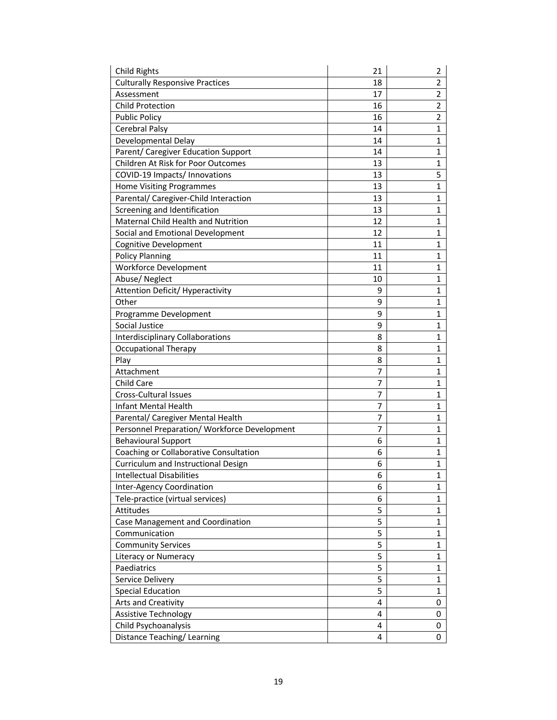| <b>Child Rights</b>                          | 21 | 2              |
|----------------------------------------------|----|----------------|
| <b>Culturally Responsive Practices</b>       | 18 | $\overline{2}$ |
| Assessment                                   | 17 | $\overline{2}$ |
| <b>Child Protection</b>                      | 16 | $\overline{2}$ |
| <b>Public Policy</b>                         | 16 | 2              |
| Cerebral Palsy                               | 14 | $\mathbf{1}$   |
| Developmental Delay                          | 14 | $\mathbf{1}$   |
| Parent/ Caregiver Education Support          | 14 | $\mathbf{1}$   |
| Children At Risk for Poor Outcomes           | 13 | $\mathbf{1}$   |
| COVID-19 Impacts/ Innovations                | 13 | 5              |
| <b>Home Visiting Programmes</b>              | 13 | $\mathbf{1}$   |
| Parental/ Caregiver-Child Interaction        | 13 | 1              |
| Screening and Identification                 | 13 | 1              |
| Maternal Child Health and Nutrition          | 12 | $\mathbf{1}$   |
| Social and Emotional Development             | 12 | $\mathbf{1}$   |
| <b>Cognitive Development</b>                 | 11 | $\mathbf{1}$   |
| <b>Policy Planning</b>                       | 11 | 1              |
| <b>Workforce Development</b>                 | 11 | $\mathbf{1}$   |
| Abuse/Neglect                                | 10 | 1              |
| <b>Attention Deficit/ Hyperactivity</b>      | 9  | $\mathbf{1}$   |
| Other                                        | 9  | 1              |
| Programme Development                        | 9  | $\mathbf{1}$   |
| Social Justice                               | 9  | $\mathbf{1}$   |
| <b>Interdisciplinary Collaborations</b>      | 8  | $\mathbf{1}$   |
| <b>Occupational Therapy</b>                  | 8  | $\mathbf{1}$   |
| Play                                         | 8  | $\mathbf{1}$   |
| Attachment                                   | 7  | $\mathbf{1}$   |
| Child Care                                   | 7  | $\mathbf{1}$   |
| Cross-Cultural Issues                        | 7  | 1              |
| Infant Mental Health                         | 7  | 1              |
| Parental/ Caregiver Mental Health            | 7  | $\mathbf{1}$   |
| Personnel Preparation/ Workforce Development | 7  | $\mathbf{1}$   |
| <b>Behavioural Support</b>                   | 6  | 1              |
| Coaching or Collaborative Consultation       | 6  | 1              |
| Curriculum and Instructional Design          | 6  | $\mathbf{1}$   |
| <b>Intellectual Disabilities</b>             | 6  | 1              |
| Inter-Agency Coordination                    | 6  | $\mathbf{1}$   |
| Tele-practice (virtual services)             | 6  | $\mathbf{1}$   |
| Attitudes                                    | 5  | $\mathbf{1}$   |
| Case Management and Coordination             | 5  | $\mathbf{1}$   |
| Communication                                | 5  | $\mathbf{1}$   |
| <b>Community Services</b>                    | 5  | $\mathbf{1}$   |
| Literacy or Numeracy                         | 5  | $\mathbf{1}$   |
| Paediatrics                                  | 5  | $\mathbf{1}$   |
| Service Delivery                             |    | 1              |
|                                              | 5  |                |
| <b>Special Education</b>                     | 5  | 1              |
| Arts and Creativity                          | 4  | 0              |
| Assistive Technology                         | 4  | 0              |
| Child Psychoanalysis                         | 4  | 0              |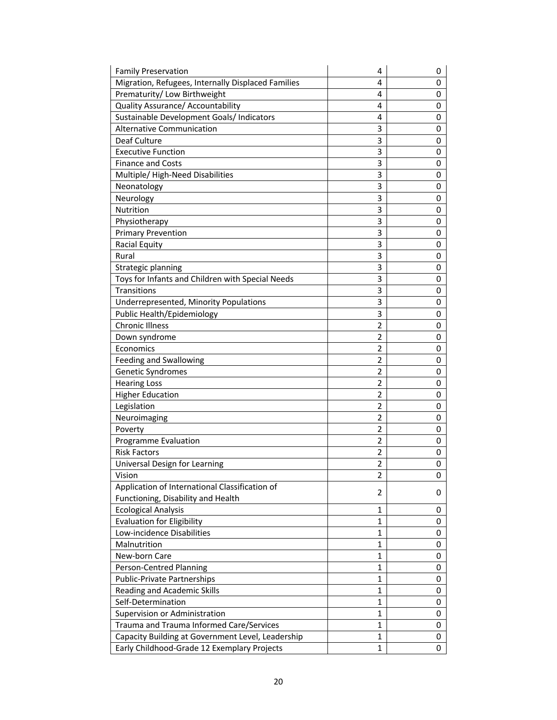| <b>Family Preservation</b>                         | 4              | 0 |
|----------------------------------------------------|----------------|---|
| Migration, Refugees, Internally Displaced Families | 4              | 0 |
| Prematurity/ Low Birthweight                       | 4              | 0 |
| Quality Assurance/ Accountability                  | 4              | 0 |
| Sustainable Development Goals/ Indicators          | 4              | 0 |
| <b>Alternative Communication</b>                   | 3              | 0 |
| Deaf Culture                                       | 3              | 0 |
| <b>Executive Function</b>                          | 3              | 0 |
| <b>Finance and Costs</b>                           | 3              | 0 |
| Multiple/High-Need Disabilities                    | 3              | 0 |
| Neonatology                                        | 3              | 0 |
| Neurology                                          | 3              | 0 |
| Nutrition                                          | 3              | 0 |
| Physiotherapy                                      | 3              | 0 |
| <b>Primary Prevention</b>                          | 3              | 0 |
| <b>Racial Equity</b>                               | 3              | 0 |
| Rural                                              | 3              | 0 |
| Strategic planning                                 | 3              | 0 |
| Toys for Infants and Children with Special Needs   | 3              | 0 |
| Transitions                                        | 3              | 0 |
| Underrepresented, Minority Populations             | 3              | 0 |
| Public Health/Epidemiology                         | 3              | 0 |
| <b>Chronic Illness</b>                             | $\overline{2}$ | 0 |
| Down syndrome                                      | $\overline{2}$ | 0 |
| Economics                                          | 2              | 0 |
| Feeding and Swallowing                             | 2              | 0 |
| Genetic Syndromes                                  | $\overline{2}$ | 0 |
| <b>Hearing Loss</b>                                | 2              | 0 |
| <b>Higher Education</b>                            | 2              | 0 |
| Legislation                                        | 2              | 0 |
| Neuroimaging                                       | 2              | 0 |
| Poverty                                            | 2              | 0 |
| Programme Evaluation                               | $\overline{2}$ | 0 |
| <b>Risk Factors</b>                                | 2              | 0 |
| Universal Design for Learning                      | 2              | 0 |
| Vision                                             | 2              | 0 |
| Application of International Classification of     |                |   |
| Functioning, Disability and Health                 | 2              | 0 |
| <b>Ecological Analysis</b>                         | $\mathbf{1}$   | 0 |
| <b>Evaluation for Eligibility</b>                  | $\mathbf{1}$   | 0 |
| Low-incidence Disabilities                         | $\mathbf{1}$   | 0 |
| Malnutrition                                       | $\mathbf{1}$   | 0 |
| New-born Care                                      | $\mathbf 1$    | 0 |
| Person-Centred Planning                            | 1              | 0 |
| Public-Private Partnerships                        | 1              | 0 |
| Reading and Academic Skills                        | 1              | 0 |
| Self-Determination                                 | 1              | 0 |
| Supervision or Administration                      | $\mathbf{1}$   | 0 |
| Trauma and Trauma Informed Care/Services           | 1              | 0 |
| Capacity Building at Government Level, Leadership  | $\mathbf{1}$   | 0 |
|                                                    | 1              | 0 |
| Early Childhood-Grade 12 Exemplary Projects        |                |   |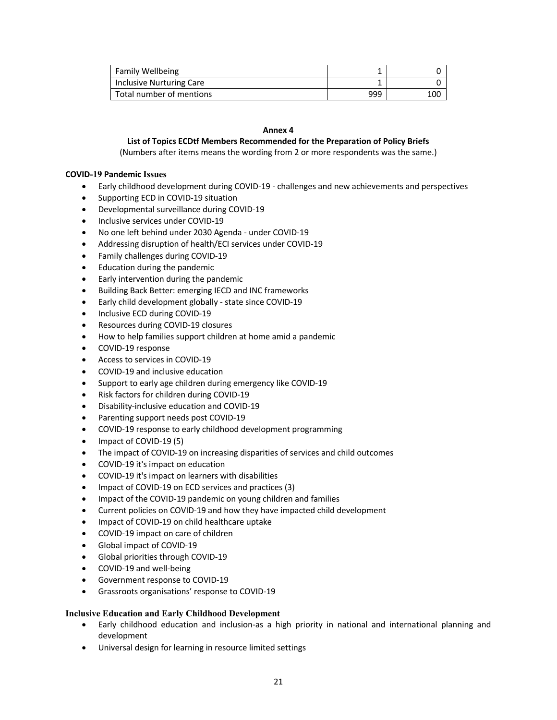| <b>Family Wellbeing</b>  |     |     |
|--------------------------|-----|-----|
| Inclusive Nurturing Care |     |     |
| Total number of mentions | 999 | 100 |

## **Annex 4**

# **List of Topics ECDtf Members Recommended for the Preparation of Policy Briefs**

(Numbers after items means the wording from 2 or more respondents was the same.)

### **COVID-19 Pandemic Issues**

- Early childhood development during COVID-19 challenges and new achievements and perspectives
- Supporting ECD in COVID-19 situation
- Developmental surveillance during COVID-19
- Inclusive services under COVID-19
- No one left behind under 2030 Agenda under COVID-19
- Addressing disruption of health/ECI services under COVID-19
- Family challenges during COVID-19
- Education during the pandemic
- Early intervention during the pandemic
- Building Back Better: emerging IECD and INC frameworks
- Early child development globally state since COVID-19
- Inclusive ECD during COVID-19
- Resources during COVID-19 closures
- How to help families support children at home amid a pandemic
- COVID-19 response
- Access to services in COVID-19
- COVID-19 and inclusive education
- Support to early age children during emergency like COVID-19
- Risk factors for children during COVID-19
- Disability-inclusive education and COVID-19
- Parenting support needs post COVID-19
- COVID-19 response to early childhood development programming
- Impact of COVID-19 (5)
- The impact of COVID-19 on increasing disparities of services and child outcomes
- COVID-19 it's impact on education
- COVID-19 it's impact on learners with disabilities
- Impact of COVID-19 on ECD services and practices (3)
- Impact of the COVID-19 pandemic on young children and families
- Current policies on COVID-19 and how they have impacted child development
- Impact of COVID-19 on child healthcare uptake
- COVID-19 impact on care of children
- Global impact of COVID-19
- Global priorities through COVID-19
- COVID-19 and well-being
- Government response to COVID-19
- Grassroots organisations' response to COVID-19

## **Inclusive Education and Early Childhood Development**

- Early childhood education and inclusion-as a high priority in national and international planning and development
- Universal design for learning in resource limited settings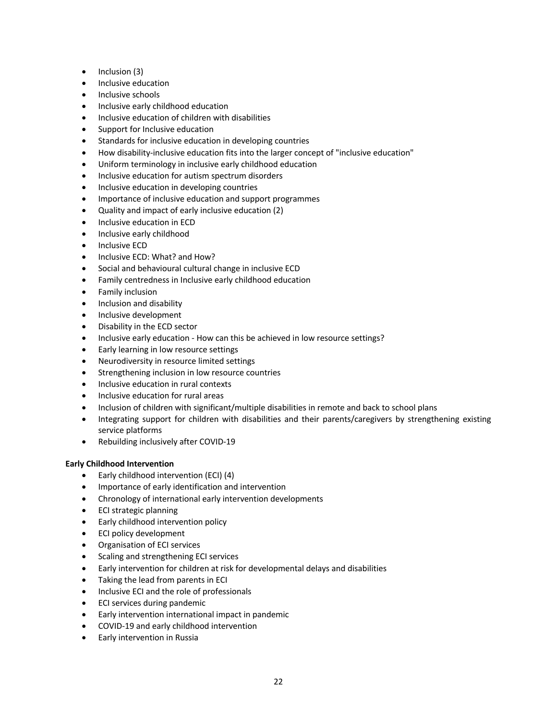- Inclusion (3)
- Inclusive education
- Inclusive schools
- Inclusive early childhood education
- Inclusive education of children with disabilities
- Support for Inclusive education
- Standards for inclusive education in developing countries
- How disability-inclusive education fits into the larger concept of "inclusive education"
- Uniform terminology in inclusive early childhood education
- Inclusive education for autism spectrum disorders
- Inclusive education in developing countries
- Importance of inclusive education and support programmes
- Quality and impact of early inclusive education (2)
- Inclusive education in ECD
- Inclusive early childhood
- Inclusive ECD
- Inclusive ECD: What? and How?
- Social and behavioural cultural change in inclusive ECD
- Family centredness in Inclusive early childhood education
- Family inclusion
- Inclusion and disability
- Inclusive development
- Disability in the ECD sector
- Inclusive early education How can this be achieved in low resource settings?
- Early learning in low resource settings
- Neurodiversity in resource limited settings
- Strengthening inclusion in low resource countries
- Inclusive education in rural contexts
- Inclusive education for rural areas
- Inclusion of children with significant/multiple disabilities in remote and back to school plans
- Integrating support for children with disabilities and their parents/caregivers by strengthening existing service platforms
- Rebuilding inclusively after COVID-19

## **Early Childhood Intervention**

- Early childhood intervention (ECI) (4)
- Importance of early identification and intervention
- Chronology of international early intervention developments
- ECI strategic planning
- Early childhood intervention policy
- ECI policy development
- Organisation of ECI services
- Scaling and strengthening ECI services
- Early intervention for children at risk for developmental delays and disabilities
- Taking the lead from parents in ECI
- Inclusive ECI and the role of professionals
- ECI services during pandemic
- Early intervention international impact in pandemic
- COVID-19 and early childhood intervention
- Early intervention in Russia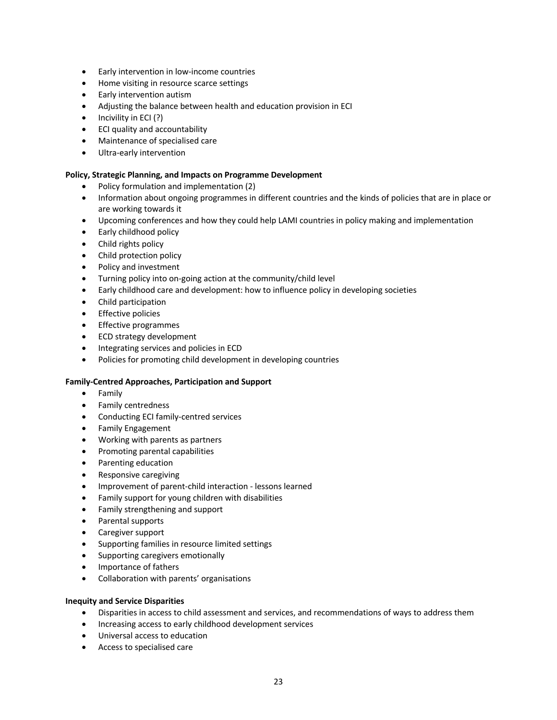- Early intervention in low-income countries
- Home visiting in resource scarce settings
- Early intervention autism
- Adjusting the balance between health and education provision in ECI
- $\bullet$  Incivility in ECI (?)
- ECI quality and accountability
- Maintenance of specialised care
- Ultra-early intervention

### **Policy, Strategic Planning, and Impacts on Programme Development**

- Policy formulation and implementation (2)
- Information about ongoing programmes in different countries and the kinds of policies that are in place or are working towards it
- Upcoming conferences and how they could help LAMI countries in policy making and implementation
- Early childhood policy
- Child rights policy
- Child protection policy
- Policy and investment
- Turning policy into on-going action at the community/child level
- Early childhood care and development: how to influence policy in developing societies
- Child participation
- Effective policies
- Effective programmes
- ECD strategy development
- Integrating services and policies in ECD
- Policies for promoting child development in developing countries

## **Family-Centred Approaches, Participation and Support**

- Family
- Family centredness
- Conducting ECI family-centred services
- Family Engagement
- Working with parents as partners
- Promoting parental capabilities
- Parenting education
- Responsive caregiving
- Improvement of parent-child interaction lessons learned
- Family support for young children with disabilities
- Family strengthening and support
- Parental supports
- Caregiver support
- Supporting families in resource limited settings
- Supporting caregivers emotionally
- Importance of fathers
- Collaboration with parents' organisations

## **Inequity and Service Disparities**

- Disparities in access to child assessment and services, and recommendations of ways to address them
- Increasing access to early childhood development services
- Universal access to education
- Access to specialised care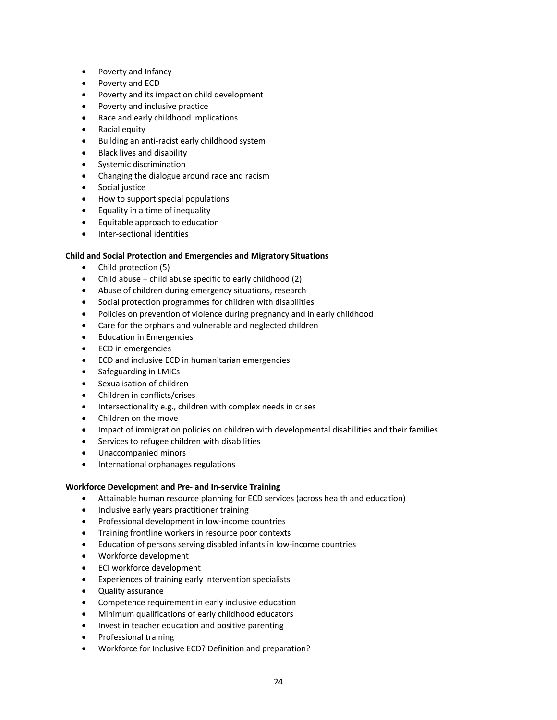- Poverty and Infancy
- Poverty and ECD
- Poverty and its impact on child development
- Poverty and inclusive practice
- Race and early childhood implications
- Racial equity
- Building an anti-racist early childhood system
- Black lives and disability
- Systemic discrimination
- Changing the dialogue around race and racism
- Social justice
- How to support special populations
- Equality in a time of inequality
- Equitable approach to education
- Inter-sectional identities

### **Child and Social Protection and Emergencies and Migratory Situations**

- Child protection (5)
- Child abuse + child abuse specific to early childhood (2)
- Abuse of children during emergency situations, research
- Social protection programmes for children with disabilities
- Policies on prevention of violence during pregnancy and in early childhood
- Care for the orphans and vulnerable and neglected children
- Education in Emergencies
- ECD in emergencies
- ECD and inclusive ECD in humanitarian emergencies
- Safeguarding in LMICs
- Sexualisation of children
- Children in conflicts/crises
- Intersectionality e.g., children with complex needs in crises
- Children on the move
- Impact of immigration policies on children with developmental disabilities and their families
- Services to refugee children with disabilities
- Unaccompanied minors
- International orphanages regulations

## **Workforce Development and Pre- and In-service Training**

- Attainable human resource planning for ECD services (across health and education)
- Inclusive early years practitioner training
- Professional development in low-income countries
- Training frontline workers in resource poor contexts
- Education of persons serving disabled infants in low-income countries
- Workforce development
- ECI workforce development
- Experiences of training early intervention specialists
- Quality assurance
- Competence requirement in early inclusive education
- Minimum qualifications of early childhood educators
- Invest in teacher education and positive parenting
- Professional training
- Workforce for Inclusive ECD? Definition and preparation?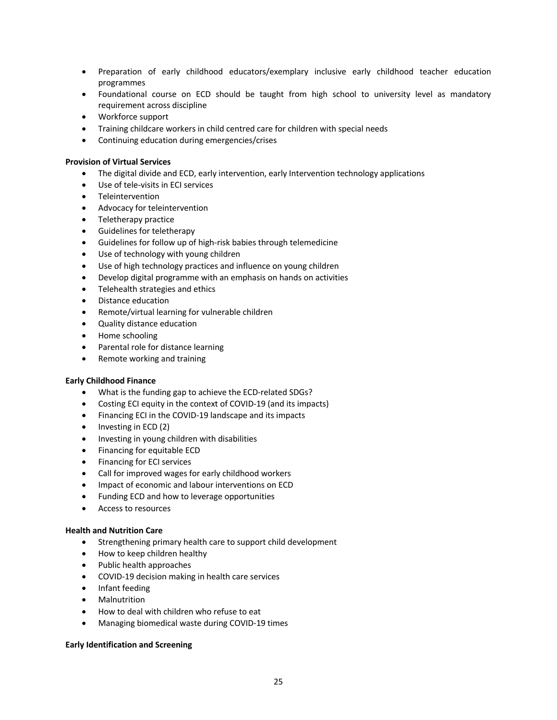- Preparation of early childhood educators/exemplary inclusive early childhood teacher education programmes
- Foundational course on ECD should be taught from high school to university level as mandatory requirement across discipline
- Workforce support
- Training childcare workers in child centred care for children with special needs
- Continuing education during emergencies/crises

## **Provision of Virtual Services**

- The digital divide and ECD, early intervention, early Intervention technology applications
- Use of tele-visits in ECI services
- Teleintervention
- Advocacy for teleintervention
- Teletherapy practice
- Guidelines for teletherapy
- Guidelines for follow up of high-risk babies through telemedicine
- Use of technology with young children
- Use of high technology practices and influence on young children
- Develop digital programme with an emphasis on hands on activities
- Telehealth strategies and ethics
- Distance education
- Remote/virtual learning for vulnerable children
- Quality distance education
- Home schooling
- Parental role for distance learning
- Remote working and training

## **Early Childhood Finance**

- What is the funding gap to achieve the ECD-related SDGs?
- Costing ECI equity in the context of COVID-19 (and its impacts)
- Financing ECI in the COVID-19 landscape and its impacts
- Investing in ECD (2)
- Investing in young children with disabilities
- Financing for equitable ECD
- Financing for ECI services
- Call for improved wages for early childhood workers
- Impact of economic and labour interventions on ECD
- Funding ECD and how to leverage opportunities
- Access to resources

## **Health and Nutrition Care**

- Strengthening primary health care to support child development
- How to keep children healthy
- Public health approaches
- COVID-19 decision making in health care services
- Infant feeding
- **Malnutrition**
- How to deal with children who refuse to eat
- Managing biomedical waste during COVID-19 times

# **Early Identification and Screening**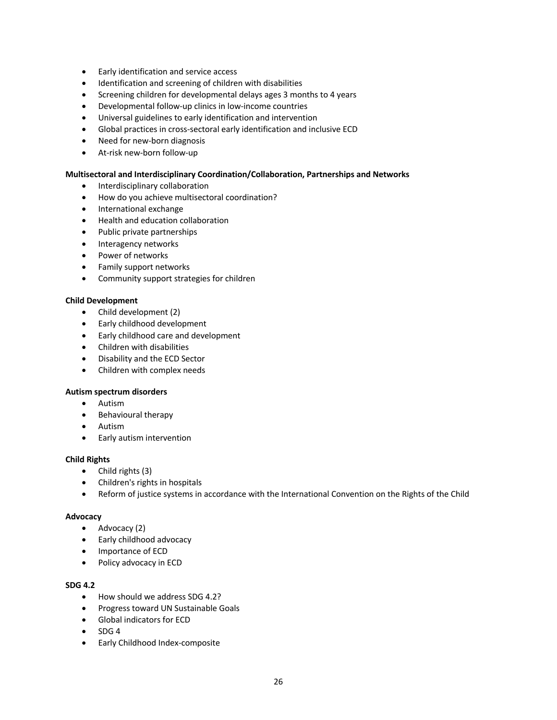- Early identification and service access
- Identification and screening of children with disabilities
- Screening children for developmental delays ages 3 months to 4 years
- Developmental follow-up clinics in low-income countries
- Universal guidelines to early identification and intervention
- Global practices in cross-sectoral early identification and inclusive ECD
- Need for new-born diagnosis
- At-risk new-born follow-up

### **Multisectoral and Interdisciplinary Coordination/Collaboration, Partnerships and Networks**

- Interdisciplinary collaboration
- How do you achieve multisectoral coordination?
- International exchange
- Health and education collaboration
- Public private partnerships
- Interagency networks
- Power of networks
- Family support networks
- Community support strategies for children

### **Child Development**

- Child development (2)
- Early childhood development
- Early childhood care and development
- Children with disabilities
- Disability and the ECD Sector
- Children with complex needs

### **Autism spectrum disorders**

- Autism
- Behavioural therapy
- Autism
- Early autism intervention

### **Child Rights**

- Child rights (3)
- Children's rights in hospitals
- Reform of justice systems in accordance with the International Convention on the Rights of the Child

### **Advocacy**

- Advocacy (2)
- Early childhood advocacy
- Importance of ECD
- Policy advocacy in ECD

# **SDG 4.2**

- How should we address SDG 4.2?
- Progress toward UN Sustainable Goals
- Global indicators for ECD
- SDG 4
- Early Childhood Index-composite